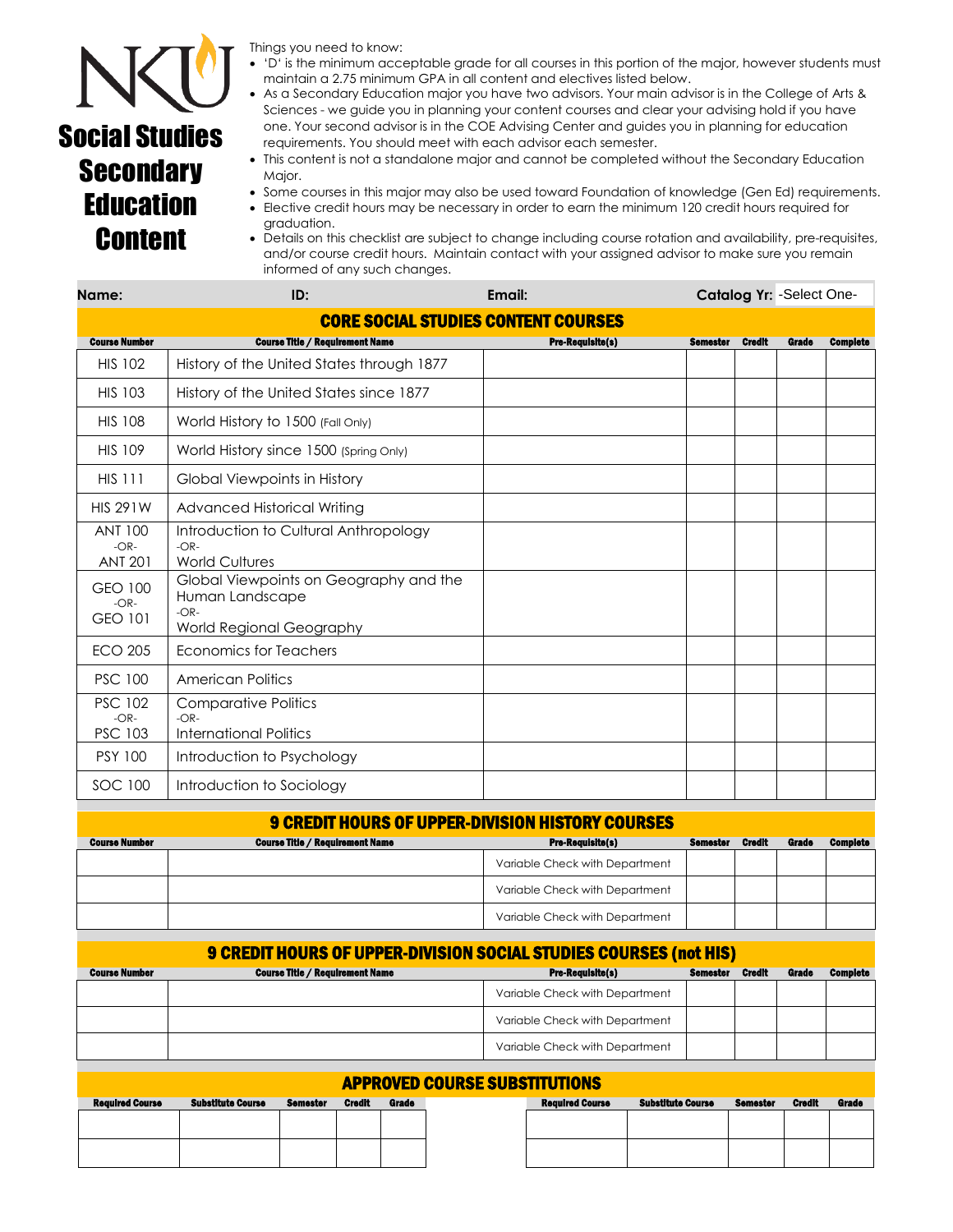

## Social Studies **Secondary Education Content**

Things you need to know:

- 'D' is the minimum acceptable grade for all courses in this portion of the major, however students must maintain a 2.75 minimum GPA in all content and electives listed below.
- As a Secondary Education major you have two advisors. Your main advisor is in the College of Arts & Sciences - we guide you in planning your content courses and clear your advising hold if you have one. Your second advisor is in the COE Advising Center and guides you in planning for education requirements. You should meet with each advisor each semester.
- This content is not a standalone major and cannot be completed without the Secondary Education Major.
- Some courses in this major may also be used toward Foundation of knowledge (Gen Ed) requirements.
- Elective credit hours may be necessary in order to earn the minimum 120 credit hours required for graduation.
- Details on this checklist are subject to change including course rotation and availability, pre-requisites, and/or course credit hours. Maintain contact with your assigned advisor to make sure you remain informed of any such changes.

| Name:                                      | ID:                                                                                             | Email:                  | Catalog Yr: - Select One- |        |       |                 |  |  |  |  |
|--------------------------------------------|-------------------------------------------------------------------------------------------------|-------------------------|---------------------------|--------|-------|-----------------|--|--|--|--|
| <b>CORE SOCIAL STUDIES CONTENT COURSES</b> |                                                                                                 |                         |                           |        |       |                 |  |  |  |  |
| <b>Course Number</b>                       | <b>Course Title / Requirement Name</b>                                                          | <b>Pre-Requisite(s)</b> | <b>Semester</b>           | Credit | Grade | <b>Complete</b> |  |  |  |  |
| <b>HIS 102</b>                             | History of the United States through 1877                                                       |                         |                           |        |       |                 |  |  |  |  |
| <b>HIS 103</b>                             | History of the United States since 1877                                                         |                         |                           |        |       |                 |  |  |  |  |
| <b>HIS 108</b>                             | World History to 1500 (Fall Only)                                                               |                         |                           |        |       |                 |  |  |  |  |
| <b>HIS 109</b>                             | World History since 1500 (Spring Only)                                                          |                         |                           |        |       |                 |  |  |  |  |
| <b>HIS 111</b>                             | Global Viewpoints in History                                                                    |                         |                           |        |       |                 |  |  |  |  |
| <b>HIS 291W</b>                            | Advanced Historical Writing                                                                     |                         |                           |        |       |                 |  |  |  |  |
| <b>ANT 100</b><br>$-OR-$<br><b>ANT 201</b> | Introduction to Cultural Anthropology<br>$-OR-$<br><b>World Cultures</b>                        |                         |                           |        |       |                 |  |  |  |  |
| GEO 100<br>$-OR-$<br><b>GEO 101</b>        | Global Viewpoints on Geography and the<br>Human Landscape<br>$-OR-$<br>World Regional Geography |                         |                           |        |       |                 |  |  |  |  |
| <b>ECO 205</b>                             | Economics for Teachers                                                                          |                         |                           |        |       |                 |  |  |  |  |
| <b>PSC 100</b>                             | <b>American Politics</b>                                                                        |                         |                           |        |       |                 |  |  |  |  |
| <b>PSC 102</b><br>$-OR-$<br><b>PSC 103</b> | <b>Comparative Politics</b><br>$-OR-$<br><b>International Politics</b>                          |                         |                           |        |       |                 |  |  |  |  |
| <b>PSY 100</b>                             | Introduction to Psychology                                                                      |                         |                           |        |       |                 |  |  |  |  |
| SOC 100                                    | Introduction to Sociology                                                                       |                         |                           |        |       |                 |  |  |  |  |

| <b>9 CREDIT HOURS OF UPPER-DIVISION HISTORY COURSES</b> |                 |                                |       |                 |  |  |  |  |  |
|---------------------------------------------------------|-----------------|--------------------------------|-------|-----------------|--|--|--|--|--|
| <b>Course Number</b>                                    | <b>Semester</b> | <b>Credit</b>                  | Grade | <b>Complete</b> |  |  |  |  |  |
|                                                         |                 | Variable Check with Department |       |                 |  |  |  |  |  |
|                                                         |                 | Variable Check with Department |       |                 |  |  |  |  |  |
|                                                         |                 | Variable Check with Department |       |                 |  |  |  |  |  |

| <b>9 CREDIT HOURS OF UPPER-DIVISION SOCIAL STUDIES COURSES (not HIS)</b> |                                                                                                                |                                |  |  |  |  |  |  |  |  |
|--------------------------------------------------------------------------|----------------------------------------------------------------------------------------------------------------|--------------------------------|--|--|--|--|--|--|--|--|
| <b>Course Number</b>                                                     | <b>Pre-Requisite(s)</b><br><b>Course Title / Requirement Name</b><br><b>Semester</b><br>Grade<br><b>Credit</b> |                                |  |  |  |  |  |  |  |  |
|                                                                          |                                                                                                                | Variable Check with Department |  |  |  |  |  |  |  |  |
|                                                                          |                                                                                                                | Variable Check with Department |  |  |  |  |  |  |  |  |
|                                                                          |                                                                                                                | Variable Check with Department |  |  |  |  |  |  |  |  |

| <b>APPROVED COURSE SUBSTITUTIONS</b> |                          |          |               |       |  |                        |                          |                 |               |       |
|--------------------------------------|--------------------------|----------|---------------|-------|--|------------------------|--------------------------|-----------------|---------------|-------|
| <b>Required Course</b>               | <b>Substitute Course</b> | Semester | <b>Credit</b> | Grade |  | <b>Regulred Course</b> | <b>Substitute Course</b> | <b>Semester</b> | <b>Credit</b> | Grade |
|                                      |                          |          |               |       |  |                        |                          |                 |               |       |
|                                      |                          |          |               |       |  |                        |                          |                 |               |       |
|                                      |                          |          |               |       |  |                        |                          |                 |               |       |
|                                      |                          |          |               |       |  |                        |                          |                 |               |       |